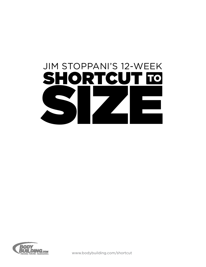



www.bodybuilding.com/shortcut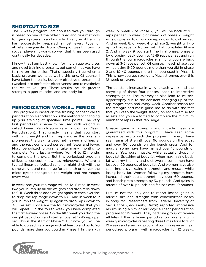## SHORTCUT TO SIZE

The 12-week program I am about to take you through is based on one of the oldest, tried and true methods for gaining strength and muscle. This type of training has successfully prepared almost every type of athlete imaginable, from Olympic weightlifters to soccer players. It works so well that it has been used continually for decades.

I know that I am best known for my unique exercises and novel training programs, but sometimes you have to rely on the basics. That's especially true when a basic program works as well a this one. Of course, I have taken the basic, but very effective program and tweaked it to perfect its effectiveness and to maximize the results you get. These results include greater strength, bigger muscles, and less body fat.

## Periodization Works... Period!

This program is based on the training concept called periodization. Periodization is the method of changing up your training at specified time points. The very first periodized scheme to be used with weights is called Linear Periodization (also known as Classc Periodization). That simply means that you start with light weight and high reps and as the program progresses the weights used get heavier and heavier and the reps completed per set get fewer and fewer. Most periodized programs take many months to complete. Many last anywhere from 4 to 12 months to complete the cycle. But this periodized program utilizes a concept known as microcycles. Where a typical linear periodized scheme might stick with the same weight and rep range for a month or longer, the micro cycles change up the weight and rep ranges every week.

In week one your rep range will be 12-15 reps. In week two you bump up all the weights and drop reps down to 9-11. Week three adds weight again to each exercise to drop the rep range down to 6-8. And in week four you bump the weight up again to drop reps down to 3-5 per set. Those are the four microcycles that you will repeat. On the fourth week you have completed the first 4-week phase. On the fifth week you drop the weight back down and start all over at 12-15 reps per set. This is the start of Phase 2. But now you will be able to do each rep range with at least 5 and up to 20 pounds more than you could in Phase 1. In the sixth week, or week 2 of Phase 2, you will be back at 9-11 reps per set. In week 7, or week 3 of phase 2, weight will go up again to drop your repa down to 6-8 per set. And in week 8, or week 4 of phase 2, weight will go up to limit reps to 3-5 per set. That completes Phase 2. And in week 9 you start The final phase, phase 3 by dropping back down to 12-15 reps per set and run through the four microcycles again until you are back down at 3-5 reps per set. Of course, in each phase you will be using 5-20 pounds more than you did in phase 2 and 10-40 pounds more than you used in Phase 1. This is how you get stronger... Much stronger, over this 12-week program.

The constant increase in weight each week and the recycling of these four phases leads to impressive strength gains. The microcyles also lead to muscle hypertrophy due to the constant changing up of the rep ranges each and every week. Another reason for the strength and mass gains has to do with the fact that you keep the weight steady on each exercise for all sets and you are forced to complete the minimum number of reps in that rep range.

Greater gains in strength and muscle mass are guaranteed with this program. I have seen some impressive results with this program. In men, I have seen gains of strength over 90 pounds on the squat and over 50 pounds on the bench press. And for muscle, some guys have gained over 15 pounds of muscle. Yes, pure muscle, while actually dropping body fat. Speaking of body fat, when maximizing body fat with my training and diet tweaks some men have lost over 20 pounds of body fat. And women have also seen impressive gains in strength and muscle while losing body fat. Women following my program have increased their squat strength by over 60 pounds, and bench press strength by 30 pounds. And gains in muscle of over 10 pounds and fat loss over 10 pounds.

But I'm not the only one to report insane gains in muscle size and strength with concomittant losses in body fat. Researchers from Federal University of Sao Carlos (Sao Paulo, Brazil) reported impressive results using a similar microcycle linear periodization program for 12 weeks. They had one group of female athletes follow a linear periodization program with weekly microcycles repeating three times for a total of 12 weeks and a second group following a reverse linear periodized program with microcycles for 12 weeks.

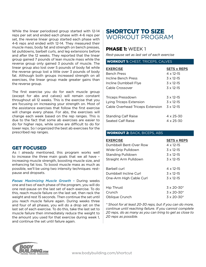While the linear periodized group started with 12-14 reps per set and ended each phase with 4-6 reps per set, the reverse linear group started each phase with 4-6 reps and ended with 12-14. They measured their muscle mass, body fat and strength on bench presses, lat pulldowns, barbell curls, and leg extensions before and after the 12 weeks. They reported that the linear group gained 7 pounds of lean muscle mass while the reverse group only gained 3 pounds of muscle. The linear group also lost over 5 pounds of body fat while the reverse group lost a little over 3 pounds of body fat. Although both groups increased strength on all exercises, the linear group made greater gains than the reverse group.

The first exercise you do for each muscle group (except for abs and calves) will remain constant throughout all 12 weeks. This is the exercise that you are focusing on increasing your strength on. Most of the assistance exercises that follow the first exercise will change every phase. For abs, the exercises will change each week based on the rep ranges. This is due to the fact that some ab exercises are easier to do for higher reps, while some are difficult to do for lower reps. So I organized the best ab exercises for the prescribed rep ranges.

## **GET FOCUSED**

As I already mentioned, this program works well to increase the three main goals that we all have – increasing muscle strength, boosting muscle size, and enhancing fat loss. To boost muscle mass as much as possible, we'll be using two intensity techniques: restpause and dropsets.

*Focus: Maximizing Muscle Growth –* During weeks one and two of each phase of the program, you will do one rest-pause on the last set of each exercise. To do this, reach muscle failure on the last set, then rack the weight and rest 15 seconds. Then continue the set until you reach muscle failure again. During weeks three and four of all phases, you will do a drop set on the last set of each exercise. To do this, take the last set to muscle failure then immediately reduce the weight to the amount you used for that exercise during week 1, and continue the set until failure again.

# SHORTCUT TO SIZE Workout Program

# PHASE 1: WEEK 1

*Rest-pause set as last set of each exercise*

### Workout 1: Chest, Triceps, Calves

| <b>EXERCISE</b>                  | <b>SETS x REPS</b> |
|----------------------------------|--------------------|
| <b>Bench Press</b>               | $4 \times 12 - 15$ |
| Incline Bench Press              | $3 \times 12 - 15$ |
| Incline Dumbbell Flye            | $3 \times 12 - 15$ |
| Cable Crossover                  | $3 \times 12 - 15$ |
|                                  |                    |
| <b>Triceps Pressdown</b>         | $3 \times 12 - 15$ |
| Lying Triceps Extension          | $3 \times 12 - 15$ |
| Cable Overhead Triceps Extension | $3 \times 12 - 15$ |
|                                  |                    |
| <b>Standing Calf Raise</b>       | $4 \times 25 - 30$ |
| Seated Calf Raise                | 4 x 25-30          |

#### Workout 2: Back, Biceps, Abs

| <b>EXERCISE</b><br>Dumbbell Bent-Over Row                               | <b>SETS x REPS</b><br>4 x 12-15                       |
|-------------------------------------------------------------------------|-------------------------------------------------------|
| Wide-Grip Pulldown                                                      | $3 \times 12 - 15$                                    |
| <b>Standing Pulldown</b>                                                | $3 \times 12 - 15$                                    |
| Straight Arm Pulldown                                                   | $3 \times 12 - 15$                                    |
| <b>Barbell curl</b><br>Dumbbell Incline Curl<br>One-Arm High Cable Curl | 4 x 12-15<br>$3 \times 12 - 15$<br>$3 \times 12 - 15$ |
| Hip Thrust                                                              | $3 \times 20 - 30^*$                                  |
| Crunch                                                                  | $3 \times 20 - 30^*$                                  |
| Oblique Crunch                                                          | $3 \times 20 - 30^*$                                  |

*\* Shoot for at least 20-30 reps, but if you can do more, continue until reaching failure. If you cannot complete 20 reps, do as many as you can tring to get as close to 20 reps as possible.*

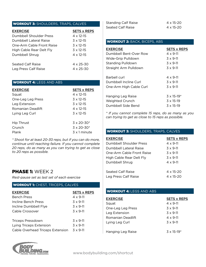## Workout 3: Shoulders, Traps, Calves

| <b>EXERCISE</b>           | <b>SETS x REPS</b> |
|---------------------------|--------------------|
| Dumbbell Shoulder Press   | $4 \times 12 - 15$ |
| Dumbbell Lateral Raise    | $3 \times 12 - 15$ |
| One-Arm Cable Front Raise | $3 \times 12 - 15$ |
| High Cable Rear Delt Fly  | $3 \times 12 - 15$ |
| Dumbbell Shrug            | $4 \times 12 - 15$ |
| Seated Calf Raise         | $4 \times 25 - 30$ |
| Leg Press Calf Raise      | $4 \times 25 - 30$ |

## WORKOUT 4: LEGS AND ABS

| <b>EXERCISE</b>   | <b>SETS x REPS</b>   |
|-------------------|----------------------|
| Squat             | $4 \times 12 - 15$   |
| One-Leg Leg Press | $3 \times 12 - 15$   |
| Leg Extension     | $3 \times 12 - 15$   |
| Romanian Deadlift | 4 x 12-15            |
| Lying Leg Curl    | $3 \times 12 - 15$   |
|                   |                      |
| Hip Thrust        | $3 \times 20 - 30^*$ |
| Crunch            | $3 \times 20 - 30^*$ |
| <b>Plank</b>      | $3 \times 1$ minute  |

*\* Shoot for at least 20-30 reps, but if you can do more, continue until reaching failure. If you cannot complete 20 reps, do as many as you can trying to get as close to 20 reps as possible.*

## PHASE 1: WFFK 2

*Rest-pause set as last set of each exercise*

#### Workout 1: Chest, Triceps, Calves

| <b>EXERCISE</b>                  | <b>SETS x REPS</b> |
|----------------------------------|--------------------|
| <b>Bench Press</b>               | $4 \times 9 - 11$  |
| Incline Bench Press              | $3 \times 9 - 11$  |
| Incline Dumbbell Flye            | $3 \times 9 - 11$  |
| Cable Crossover                  | $3 \times 9 - 11$  |
| Triceps Pressdown                | $3 \times 9 - 11$  |
| Lying Triceps Extension          | $3 \times 9 - 11$  |
| Cable Overhead Triceps Extension | $3 \times 9 - 11$  |



| <b>Standing Calf Raise</b> | $4 \times 15 - 20$ |
|----------------------------|--------------------|
| Seated Calf Raise          | $4 \times 15 - 20$ |

## Workout 2: Back, Biceps, Abs

| <b>EXERCISE</b>          | <b>SETS x REPS</b>   |
|--------------------------|----------------------|
| Dumbbell Bent-Over Row   | $4 \times 9 - 11$    |
| Wide-Grip Pulldown       | $3 \times 9 - 11$    |
| <b>Standing Pulldown</b> | $3 \times 9 - 11$    |
| Straight Arm Pulldown    | $3 \times 9 - 11$    |
| Barbell curl             | $4 \times 9 - 11$    |
| Dumbbell Incline Curl    | $3 \times 9 - 11$    |
| One-Arm High Cable Curl  | $3 \times 9 - 11$    |
| Hanging Leg Raise        | $3 \times 15 - 19^*$ |
| Weighted Crunch          | $3 \times 15 - 19$   |
| Dumbbell Side Bend       | $3 \times 15 - 19$   |

*\* If you cannot complete 15 reps, do as many as you can trying to get as close to 15 reps as possible.*

#### Workout 3: Shoulders, Traps, Calves

| <b>EXERCISE</b>           | <b>SETS x REPS</b> |
|---------------------------|--------------------|
| Dumbbell Shoulder Press   | $4 \times 9 - 11$  |
| Dumbbell Lateral Raise    | $3 \times 9 - 11$  |
| One-Arm Cable Front Raise | $3 \times 9 - 11$  |
| High Cable Rear Delt Fly  | $3 \times 9 - 11$  |
| Dumbbell Shrug            | $4 \times 9 - 11$  |
| Seated Calf Raise         | $4 \times 15 - 20$ |
| Leg Press Calf Raise      | 4 x 15-20          |

### WORKOUT 4: LEGS AND ABS

| <b>EXERCISE</b>   | <b>SETS x REPS</b>              |
|-------------------|---------------------------------|
| Squat             | $4 \times 9 - 11$               |
| One-Leg Leg Press | $3 \times 9 - 11$               |
| Leg Extension     | $3 \times 9 - 11$               |
| Romanian Deadlift | $4 \times 9 - 11$               |
| Lying Leg Curl    | $3 \times 9 - 11$               |
| Hanging Leg Raise | $3 \times 15 - 19$ <sup>*</sup> |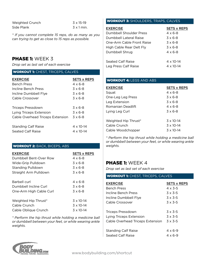| Weighted Crunch | $3 \times 15 - 19$ |
|-----------------|--------------------|
| Side Plank      | $3 \times 1$ min.  |

*\* If you cannot complete 15 reps, do as many as you can trying to get as close to 15 reps as possible.*

# PHASE 1: WEEK 3

*Drop set as last set of each exercise*

## WORKOUT 1: CHEST, TRICEPS, CALVES

| <b>EXERCISE</b>                  | <b>SETS x REPS</b>   |
|----------------------------------|----------------------|
| <b>Bench Press</b>               | 4 x 6-8              |
| Incline Bench Press              | $3 \times 6 - 8$     |
| Incline Dumbbell Flye            | $\overline{3}$ x 6-8 |
| Cable Crossover                  | $3 \times 6 - 8$     |
|                                  |                      |
| Triceps Pressdown                | $3 \times 6 - 8$     |
| Lying Triceps Extension          | $3 \times 6 - 8$     |
| Cable Overhead Triceps Extension | $3 \times 6 - 8$     |
|                                  |                      |
| <b>Standing Calf Raise</b>       | $4 \times 10 - 14$   |
| Seated Calf Raise                | 4 x 10-14            |

## Workout 2: Back, Biceps, Abs

| <b>EXERCISE</b>          | <b>SETS x REPS</b> |
|--------------------------|--------------------|
| Dumbbell Bent-Over Row   | 4 x 6-8            |
| Wide-Grip Pulldown       | $3 \times 6 - 8$   |
| <b>Standing Pulldown</b> | $3 \times 6 - 8$   |
| Straight Arm Pulldown    | $3 \times 6 - 8$   |
| Barbell curl             | $4 \times 6 - 8$   |
| Dumbbell Incline Curl    | $3 \times 6 - 8$   |
| One-Arm High Cable Curl  | $3 \times 6 - 8$   |
| Weighted Hip Thrust*     | $3 \times 10 - 14$ |
| Cable Crunch             | $3 \times 10 - 14$ |
| Cable Oblique Crunch     | $3 \times 10 - 14$ |

*\* Perform the hip thrust while holding a medicine ball or dumbbell between your feet, or while wearing ankle weights.*

## Workout 3: Shoulders, Traps, Calves

| Dumbbell Shoulder Press   | $4 \times 6 - 8$ |
|---------------------------|------------------|
| Dumbbell Lateral Raise    | $3 \times 6 - 8$ |
| One-Arm Cable Front Raise | $3 \times 6 - 8$ |
| High Cable Rear Delt Fly  | $3 \times 6 - 8$ |
| Dumbbell Shrug            | $4 \times 6 - 8$ |
| Seated Calf Raise         | 4 x 10-14        |
| Leg Press Calf Raise      | 4 x 10-14        |

## WORKOUT 4: LEGS AND ABS

| <b>EXERCISE</b>      | <b>SETS x REPS</b> |
|----------------------|--------------------|
| Squat                | $4 \times 6 - 8$   |
| One-Leg Leg Press    | $3 \times 6 - 8$   |
| Leg Extension        | $3 \times 6 - 8$   |
| Romanian Deadlift    | $4 \times 6 - 8$   |
| Lying Leg Curl       | $3 \times 6 - 8$   |
|                      |                    |
| Weighted Hip Thrust* | $3 \times 10 - 14$ |
| Cable Crunch         | $3 \times 10 - 14$ |
| Cable Woodchopper    | $3 \times 10 - 14$ |

*\* Perform the hip thrust while holding a medicine ball or dumbbell between your feet, or while wearing ankle weights.*

# PHASE 1: WEEK 4

*Drop set as last set of each exercise*

| <b>WORKOUT 1: CHEST, TRICEPS, CALVES</b> |                    |  |
|------------------------------------------|--------------------|--|
| <b>EXERCISE</b>                          | <b>SETS x REPS</b> |  |
| <b>Bench Press</b>                       | $4 \times 3 - 5$   |  |
| Incline Bench Press                      | $3 \times 3 - 5$   |  |
| Incline Dumbbell Flye                    | $3 \times 3 - 5$   |  |
| Cable Crossover                          | $3 \times 3 - 5$   |  |
|                                          |                    |  |
| Triceps Pressdown                        | $3 \times 3 - 5$   |  |
| Lying Triceps Extension                  | $3 \times 3 - 5$   |  |
| Cable Overhead Triceps Extension         | $3 \times 3 - 5$   |  |
|                                          |                    |  |
| <b>Standing Calf Raise</b>               | $4 \times 6 - 9$   |  |
| Seated Calf Raise                        | 4 x 6-9            |  |
|                                          |                    |  |

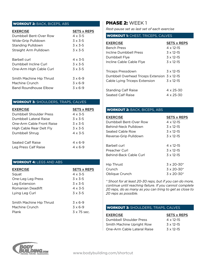## Workout 2: Back, Biceps, Abs

| <b>EXERCISE</b>          | <b>SETS x REPS</b> |
|--------------------------|--------------------|
| Dumbbell Bent-Over Row   | $4 \times 3 - 5$   |
| Wide-Grip Pulldown       | $3 \times 3 - 5$   |
| <b>Standing Pulldown</b> | $3 \times 3 - 5$   |
| Straight Arm Pulldown    | $3 \times 3 - 5$   |
| Barbell curl             | $4 \times 3 - 5$   |
| Dumbbell Incline Curl    | $3 \times 3 - 5$   |
| One-Arm High Cable Curl  | $3 \times 3 - 5$   |
| Smith Machine Hip Thrust | $3 \times 6-9$     |
| Machine Crunch           | $3 \times 6-9$     |
| Band Roundhouse Flbow    | $3 \times 6-9$     |

## **WORKOUT 3: SHOULDERS, TRAPS, CALVES**

| <b>EXERCISE</b>           | <b>SETS x REPS</b> |
|---------------------------|--------------------|
| Dumbbell Shoulder Press   | $4 \times 3 - 5$   |
| Dumbbell Lateral Raise    | $3 \times 3 - 5$   |
| One-Arm Cable Front Raise | $3 \times 3 - 5$   |
| High Cable Rear Delt Fly  | $3 \times 3 - 5$   |
| Dumbbell Shrug            | $4 \times 3 - 5$   |
| Seated Calf Raise         | $4 \times 6 - 9$   |
| Leg Press Calf Raise      | $4 \times 6 - 9$   |

## WORKOUT 4: LEGS AND ABS

| <b>EXERCISE</b>          | <b>SETS x REPS</b> |
|--------------------------|--------------------|
| Squat                    | $4 \times 3 - 5$   |
| One-Leg Leg Press        | $3 \times 3 - 5$   |
| Leg Extension            | $3 \times 3 - 5$   |
| Romanian Deadlift        | $4 \times 3 - 5$   |
| Lying Leg Curl           | $3 \times 3 - 5$   |
| Smith Machine Hip Thrust | $3 \times 6-9$     |
| Machine Crunch           | $3 \times 6-9$     |
| Plank                    | $3 \times 75$ sec. |

# PHASE 2: WEEK 1

*Rest-pause set as last set of each exercise* WORKSHES CHEST, TRICERS, CALLIES

| WORKOUT I: CHEST, TRICEPS, CALVES             |                    |  |
|-----------------------------------------------|--------------------|--|
| <b>EXERCISE</b>                               | <b>SETS x REPS</b> |  |
| <b>Bench Press</b>                            | $4 \times 12 - 15$ |  |
| Incline Dumbbell Press                        | $3 \times 12 - 15$ |  |
| Dumbbell Flye                                 | $3 \times 12 - 15$ |  |
| Incline Cable Cable Flye                      | $3 \times 12 - 15$ |  |
|                                               |                    |  |
| Triceps Pressdown                             | $3 \times 12 - 15$ |  |
| Dumbbell Overhead Triceps Extension 3 x 12-15 |                    |  |
| Cable Lying Triceps Extension                 | $3 \times 12 - 15$ |  |
|                                               |                    |  |
| <b>Standing Calf Raise</b>                    | $4 \times 25 - 30$ |  |
| <b>Seated Calf Raise</b>                      | $4 \times 25 - 30$ |  |

### Workout 2: Back, Biceps, Abs

| <b>EXERCISE</b>        | <b>SETS x REPS</b>   |
|------------------------|----------------------|
| Dumbbell Bent-Over Row | $4 \times 12 - 15$   |
| Behind-Neck Pulldown   | $3 \times 12 - 15$   |
| Seated Cable Row       | $3 \times 12 - 15$   |
| Reverse-Grip Pulldown  | $3 \times 12 - 15$   |
| Barbell curl           | $4 \times 12 - 15$   |
| Preacher Curl          | $3 \times 12 - 15$   |
| Behind-Back Cable Curl | $3 \times 12 - 15$   |
| Hip Thrust             | $3 \times 20 - 30^*$ |
| Crunch                 | $3 \times 20 - 30^*$ |
| Oblique Crunch         | $3 \times 20 - 30^*$ |

*\* Shoot for at least 20-30 reps, but if you can do more, continue until reaching failure. If you cannot complete 20 reps, do as many as you can tring to get as close to 20 reps as possible.*

### **WORKOUT 3: SHOULDERS, TRAPS, CALVES**

| <b>EXERCISE</b>             | <b>SETS x REPS</b> |
|-----------------------------|--------------------|
| Dumbbell Shoulder Press     | $4 \times 12 - 15$ |
| Smith Machine Upright Row   | $3 \times 12 - 15$ |
| One-Arm Cable Lateral Raise | $3 \times 12 - 15$ |

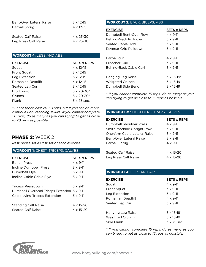| Bent-Over Lateral Raise | $3 \times 12 - 15$ |
|-------------------------|--------------------|
| Barbell Shrug           | $4 \times 12 - 15$ |
|                         |                    |
| Seated Calf Raise       | $4 \times 25 - 30$ |
| Leg Press Calf Raise    | $4 \times 25 - 30$ |
|                         |                    |

## WORKOUT 4: LEGS AND ABS

| <b>EXERCISE</b>    | <b>SETS x REPS</b>   |
|--------------------|----------------------|
| Squat              | $4 \times 12 - 15$   |
| <b>Front Squat</b> | $3 \times 12 - 15$   |
| Leg Extension      | $3 \times 12 - 15$   |
| Romanian Deadlift  | $4 \times 12 - 15$   |
| Seated Leg Curl    | $3 \times 12 - 15$   |
| <b>Hip Thrust</b>  | $3 \times 20 - 30^*$ |
| Crunch             | $3 \times 20 - 30^*$ |
| Plank              | 3 x 75 sec.          |

*\* Shoot for at least 20-30 reps, but if you can do more, continue until reaching failure. If you cannot complete 20 reps, do as many as you can trying to get as close to 20 reps as possible.*

# PHASE 2: WEEK 2

*Rest-pause set as last set of each exercise*

### WORKOUT 1: CHEST, TRICEPS, CALVES

| <b>EXERCISE</b>                                 | <b>SETS x REPS</b>              |
|-------------------------------------------------|---------------------------------|
| <b>Bench Press</b>                              | $4 \times 9 - 11$               |
| Incline Dumbbell Press                          | $3 \times 9 - 11$               |
| Dumbbell Flye                                   | $3 \times 9 - 11$               |
| Incline Cable Cable Flye                        | $3 \times 9 - 11$               |
| Triceps Pressdown                               | $3 \times 9 - 11$               |
| Dumbbell Overhead Triceps Extension 3 x 9-11    |                                 |
| Cable Lying Triceps Extension                   | $3 \times 9 - 11$               |
| <b>Standing Calf Raise</b><br>Seated Calf Raise | $4 \times 15 - 20$<br>4 x 15-20 |
|                                                 |                                 |

## Workout 2: Back, Biceps, Abs

| SETS x REPS                     |
|---------------------------------|
| $4 \times 9 - 11$               |
| $3 \times 9 - 11$               |
| $3 \times 9 - 11$               |
| $3 \times 9 - 11$               |
| $4 \times 9 - 11$               |
| $3 \times 9 - 11$               |
| $3 \times 9 - 11$               |
| $3 \times 15 - 19$ <sup>*</sup> |
| $3 \times 15 - 19$              |
| $3 \times 15 - 19$              |
|                                 |

*\* If you cannot complete 15 reps, do as many as you can trying to get as close to 15 reps as possible.*

## **WORKOUT 3: SHOULDERS, TRAPS, CALVES**

| <b>EXERCISE</b>             | <b>SETS x REPS</b> |
|-----------------------------|--------------------|
| Dumbbell Shoulder Press     | $4 \times 9 - 11$  |
| Smith Machine Upright Row   | $3 \times 9 - 11$  |
| One-Arm Cable Lateral Raise | $3 \times 9 - 11$  |
| Bent-Over Lateral Raise     | $3 \times 9 - 11$  |
| Barbell Shrug               | $4 \times 9 - 11$  |
|                             |                    |
| Seated Calf Raise           | $4 \times 15 - 20$ |
| Leg Press Calf Raise        | 4 x 15-20          |

### WORKOUT 4: LEGS AND ABS

| <b>EXERCISE</b>    | <b>SETS x REPS</b>   |
|--------------------|----------------------|
| Squat              | $4 \times 9 - 11$    |
| <b>Front Squat</b> | $3 \times 9 - 11$    |
| Leg Extension      | $3 \times 9 - 11$    |
| Romanian Deadlift  | $4 \times 9 - 11$    |
| Seated Leg Curl    | $3 \times 9 - 11$    |
| Hanging Leg Raise  | $3 \times 15 - 19$ * |
| Weighted Crunch    | $3 \times 15 - 19$   |
| Side Plank         | $3 \times 75$ sec.   |

™ *can trying to get as close to 15 reps as possible. \* If you cannot complete 15 reps, do as many as you* 

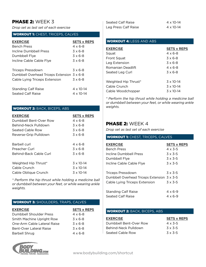# PHASE 2: WEEK 3

*Drop set as last set of each exercise*

### **WORKOUT 1: CHEST, TRICEPS, CALVES**

| <b>EXERCISE</b>                             | <b>SETS x REPS</b> |
|---------------------------------------------|--------------------|
| <b>Bench Press</b>                          | $4 \times 6 - 8$   |
| Incline Dumbbell Press                      | $3 \times 6 - 8$   |
| Dumbbell Flye                               | $3 \times 6 - 8$   |
| Incline Cable Cable Flye                    | $3 \times 6 - 8$   |
|                                             |                    |
| Triceps Pressdown                           | $3 \times 6 - 8$   |
| Dumbbell Overhead Triceps Extension 3 x 6-8 |                    |
| Cable Lying Triceps Extension               | $3 \times 6 - 8$   |
|                                             |                    |
| <b>Standing Calf Raise</b>                  | $4 \times 10 - 14$ |
| Seated Calf Raise                           | 4 x 10-14          |

#### Workout 2: Back, Biceps, Abs

| <b>EXERCISE</b>        | <b>SETS x REPS</b> |
|------------------------|--------------------|
| Dumbbell Bent-Over Row | 4 x 6-8            |
| Behind-Neck Pulldown   | $3 \times 6 - 8$   |
| Seated Cable Row       | $3 \times 6 - 8$   |
| Reverse-Grip Pulldown  | $3 \times 6 - 8$   |
| Barbell curl           | $4 \times 6 - 8$   |
| Preacher Curl          | $3 \times 6 - 8$   |
| Behind-Back Cable Curl | $3 \times 6 - 8$   |
| Weighted Hip Thrust*   | $3 \times 10 - 14$ |
| Cable Crunch           | $3 \times 10 - 14$ |
| Cable Oblique Crunch   | $3 \times 10 - 14$ |

*\* Perform the hip thrust while holding a medicine ball or dumbbell between your feet, or while wearing ankle weights.*

## **WORKOUT 3: SHOULDERS, TRAPS, CALVES**

| <b>EXERCISE</b>             | <b>SETS x REPS</b> |
|-----------------------------|--------------------|
| Dumbbell Shoulder Press     | $4 \times 6 - 8$   |
| Smith Machine Upright Row   | $3 \times 6 - 8$   |
| One-Arm Cable Lateral Raise | $3 \times 6 - 8$   |
| Bent-Over Lateral Raise     | $3 \times 6 - 8$   |
| Barbell Shrug               | $4 \times 6 - 8$   |



| Seated Calf Raise    | $4 \times 10 - 14$ |
|----------------------|--------------------|
| Leg Press Calf Raise | $4 \times 10 - 14$ |

#### WORKOUT 4: LEGS AND ABS

| <b>EXERCISE</b>      | <b>SETS x REPS</b> |
|----------------------|--------------------|
| Squat                | $4 \times 6 - 8$   |
| <b>Front Squat</b>   | $3 \times 6 - 8$   |
| Leg Extension        | $3 \times 6 - 8$   |
| Romanian Deadlift    | $4 \times 6 - 8$   |
| Seated Leg Curl      | $3 \times 6 - 8$   |
|                      |                    |
| Weighted Hip Thrust* | $3 \times 10 - 14$ |
| Cable Crunch         | $3 \times 10 - 14$ |
| Cable Woodchopper    | $3 \times 10 - 14$ |

*\* Perform the hip thrust while holding a medicine ball or dumbbell between your feet, or while wearing ankle weights.*

## PHASE 2: WEEK 4

*Drop set as last set of each exercise*

#### Workout 1: Chest, Triceps, Calves

| <b>SETS x REPS</b>                          |
|---------------------------------------------|
| $4 \times 3 - 5$                            |
| $3 \times 3 - 5$                            |
| $3 \times 3 - 5$                            |
| $3 \times 3 - 5$                            |
|                                             |
| $3 \times 3 - 5$                            |
| Dumbbell Overhead Triceps Extension 3 x 3-5 |
| $3 \times 3 - 5$                            |
|                                             |
| $4 \times 6 - 9$                            |
| $4 \times 6 - 9$                            |
|                                             |

#### Workout 2: Back, Biceps, Abs

| <b>EXERCISE</b>        | <b>SETS x REPS</b> |
|------------------------|--------------------|
| Dumbbell Bent-Over Row | $4 \times 3 - 5$   |
| Behind-Neck Pulldown   | $3 \times 3 - 5$   |
| Seated Cable Row       | $3 \times 3 - 5$   |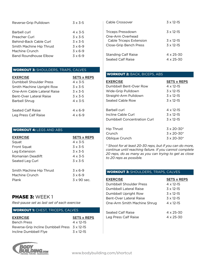| Reverse-Grip Pulldown    | $3 \times 3 - 5$ |
|--------------------------|------------------|
| Barbell curl             | $4 \times 3 - 5$ |
| Preacher Curl            | $3 \times 3 - 5$ |
| Behind-Back Cable Curl   | $3 \times 3 - 5$ |
| Smith Machine Hip Thrust | $3 \times 6-9$   |
| Machine Crunch           | $3 \times 6-9$   |
| Band Roundhouse Flbow    | $3 \times 6-9$   |

## Workout 3: Shoulders, Traps, Calves

| <b>EXERCISE</b>             | <b>SETS x REPS</b> |
|-----------------------------|--------------------|
| Dumbbell Shoulder Press     | $4 \times 3 - 5$   |
| Smith Machine Upright Row   | $3 \times 3 - 5$   |
| One-Arm Cable Lateral Raise | $3 \times 3 - 5$   |
| Bent-Over Lateral Raise     | $3 \times 3 - 5$   |
| Barbell Shrug               | $4 \times 3 - 5$   |
|                             |                    |
| Seated Calf Raise           | $4 \times 6 - 9$   |
| Leg Press Calf Raise        | 4 x 6-9            |

## WORKOUT 4: LEGS AND ABS

| <b>EXERCISE</b>          | <b>SETS x REPS</b> |
|--------------------------|--------------------|
| Squat                    | $4 \times 3 - 5$   |
| Front Squat              | $3 \times 3 - 5$   |
| Leg Extension            | $3 \times 3 - 5$   |
| Romanian Deadlift        | $4 \times 3 - 5$   |
| Seated Leg Curl          | $3 \times 3 - 5$   |
| Smith Machine Hip Thrust | $3 \times 6-9$     |
| Machine Crunch           | $3 \times 6-9$     |
| Plank                    | $3 \times 90$ sec. |

# PHASE 3: WEEK 1

*Rest-pause set as last set of each exercise*

## WORKOUT 1: CHEST, TRICEPS, CALVES

| <b>EXERCISE</b>                               | <b>SETS x REPS</b> |
|-----------------------------------------------|--------------------|
| <b>Bench Press</b>                            | $4 \times 12 - 15$ |
| Reverse-Grip Incline Dumbbell Press 3 x 12-15 |                    |
| Incline Dumbbell Flye                         | $3 \times 12 - 15$ |



| Cable Crossover                                                       | $3 \times 12 - 15$                       |
|-----------------------------------------------------------------------|------------------------------------------|
| Triceps Pressdown                                                     | $3 \times 12 - 15$                       |
| One-Arm Overhead<br>Cable Triceps Extension<br>Close-Grip Bench Press | $3 \times 12 - 15$<br>$3 \times 12 - 15$ |
| <b>Standing Calf Raise</b><br>Seated Calf Raise                       | $4 \times 25 - 30$<br>$4 \times 25 - 30$ |

## Workout 2: Back, Biceps, Abs

| <b>EXERCISE</b>             | <b>SETS x REPS</b>   |
|-----------------------------|----------------------|
| Dumbbell Bent-Over Row      | 4 x 12-15            |
| Wide-Grip Pulldown          | $3 \times 12 - 15$   |
| Straight-Arm Pulldown       | $3 \times 12 - 15$   |
| Seated Cable Row            | $3 \times 12 - 15$   |
|                             |                      |
| Barbell curl                | 4 x 12-15            |
| Incline Cable Curl          | $3 \times 12 - 15$   |
| Dumbbell Concentration Curl | $3 \times 12 - 15$   |
|                             |                      |
| Hip Thrust                  | $3 \times 20 - 30^*$ |
| Crunch                      | $3 \times 20 - 30^*$ |
| Oblique Crunch              | $3 \times 20 - 30^*$ |

*\* Shoot for at least 20-30 reps, but if you can do more, continue until reaching failure. If you cannot complete 20 reps, do as many as you can trying to get as close to 20 reps as possible.*

## **WORKOUT 3: SHOULDERS, TRAPS, CALVES**

| <b>EXERCISE</b>                | SETS x REPS        |
|--------------------------------|--------------------|
| Dumbbell Shoulder Press        | $4 \times 12 - 15$ |
| Dumbbell Lateral Raise         | $3 \times 12 - 15$ |
| Dumbbell Upright Row           | $3 \times 12 - 15$ |
| <b>Bent-Over Lateral Raise</b> | $3 \times 12 - 15$ |
| One-Arm Smith Machine Shrug    | $4 \times 12 - 15$ |
|                                |                    |
| Seated Calf Raise              | $4 \times 25 - 30$ |
| Leg Press Calf Raise           | $4 \times 25 - 30$ |
|                                |                    |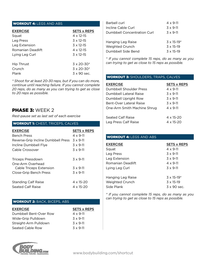### WORKOUT 4: LEGS AND ABS

| <b>EXERCISE</b>   | <b>SETS x REPS</b>   |
|-------------------|----------------------|
| Squat             | $4 \times 12 - 15$   |
| Leg Press         | $3 \times 12 - 15$   |
| Leg Extension     | $3 \times 12 - 15$   |
| Romanian Deadlift | $4 \times 12 - 15$   |
| Lying Leg Curl    | $3 \times 12 - 15$   |
| Hip Thrust        | $3 \times 20 - 30^*$ |
| Crunch            | $3 \times 20 - 30^*$ |
| Plank             | $3 \times 90$ sec.   |

*\* Shoot for at least 20-30 reps, but if you can do more, continue until reaching failure. If you cannot complete 20 reps, do as many as you can trying to get as close to 20 reps as possible.*

## PHASE 3: WFFK 2

*Rest-pause set as last set of each exercise*

| <b>WORKOUT 1: CHEST, TRICEPS, CALVES</b>                                                                                          |                                                                                   |  |
|-----------------------------------------------------------------------------------------------------------------------------------|-----------------------------------------------------------------------------------|--|
| <b>EXERCISE</b><br><b>Bench Press</b><br>Reverse-Grip Incline Dumbbell Press 3 x 9-11<br>Incline Dumbbell Flye<br>Cable Crossover | <b>SETS x REPS</b><br>$4 \times 9 - 11$<br>$3 \times 9 - 11$<br>$3 \times 9 - 11$ |  |
| Triceps Pressdown<br>One-Arm Overhead<br>Cable Triceps Extension<br>Close-Grip Bench Press                                        | $3 \times 9 - 11$<br>$3 \times 9 - 11$<br>$3 \times 9 - 11$                       |  |
| <b>Standing Calf Raise</b><br>Seated Calf Raise                                                                                   | 4 x 15-20<br>$4 \times 15 - 20$                                                   |  |

## Workout 2: Back, Biceps, Abs

| <b>EXERCISE</b>        | <b>SETS x REPS</b> |
|------------------------|--------------------|
| Dumbbell Bent-Over Row | $4 \times 9 - 11$  |
| Wide-Grip Pulldown     | $3 \times 9 - 11$  |
| Straight-Arm Pulldown  | $3 \times 9 - 11$  |
| Seated Cable Row       | $3 \times 9 - 11$  |

| RODY                                      |
|-------------------------------------------|
| <b>BUILDING.com</b>                       |
| Information, Motivation, Supplementation, |

| Barbell curl                | $4 \times 9 - 11$    |
|-----------------------------|----------------------|
| Incline Cable Curl          | $3 \times 9 - 11$    |
| Dumbbell Concentration Curl | $3 \times 9 - 11$    |
| Hanging Leg Raise           | $3 \times 15 - 19^*$ |
| Weighted Crunch             | $3 \times 15 - 19$   |
| Dumbbell Side Bend          | $3 \times 15 - 19$   |
|                             |                      |

*\* If you cannot complete 15 reps, do as many as you can trying to get as close to 15 reps as possible.*

### Workout 3: Shoulders, Traps, Calves

| <b>EXERCISE</b>             | <b>SETS x REPS</b> |
|-----------------------------|--------------------|
| Dumbbell Shoulder Press     | $4 \times 9 - 11$  |
| Dumbbell Lateral Raise      | $3 \times 9 - 11$  |
| Dumbbell Upright Row        | $3 \times 9 - 11$  |
| Bent-Over Lateral Raise     | $3 \times 9 - 11$  |
| One-Arm Smith Machine Shrug | $4 \times 9 - 11$  |
|                             |                    |
| Seated Calf Raise           | $4 \times 15 - 20$ |
| Leg Press Calf Raise        | 4 x 15-20          |

## WORKOUT 4: LEGS AND ABS

| <b>EXERCISE</b>   | <b>SETS x REPS</b>   |
|-------------------|----------------------|
| Squat             | $4 \times 9 - 11$    |
| Leg Press         | $3 \times 9 - 11$    |
| Leg Extension     | $3 \times 9 - 11$    |
| Romanian Deadlift | $4 \times 9 - 11$    |
| Lying Leg Curl    | $3 \times 9 - 11$    |
|                   |                      |
| Hanging Leg Raise | $3 \times 15 - 19$ * |
| Weighted Crunch   | $3 \times 15 - 19$   |
| Side Plank        | 3 x 90 sec.          |

*\* If you cannot complete 15 reps, do as many as you can trying to get as close to 15 reps as possible.*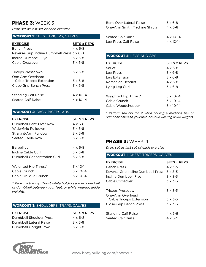# PHASE 3: WEEK 3

*Drop set as last set of each exercise*

## **WORKOUT 1: CHEST, TRICEPS, CALVES**

| <b>EXERCISE</b>                             | <b>SETS x REPS</b> |
|---------------------------------------------|--------------------|
| <b>Bench Press</b>                          | 4 x 6-8            |
| Reverse-Grip Incline Dumbbell Press 3 x 6-8 |                    |
| Incline Dumbbell Flye                       | $3 \times 6 - 8$   |
| Cable Crossover                             | $3 \times 6 - 8$   |
| Triceps Pressdown                           | $3 \times 6 - 8$   |
| One-Arm Overhead<br>Cable Triceps Extension | $3 \times 6 - 8$   |
| Close-Grip Bench Press                      | $3 \times 6 - 8$   |
| <b>Standing Calf Raise</b>                  | 4 x 10-14          |
| Seated Calf Raise                           | 4 x 10-14          |

## Workout 2: Back, Biceps, Abs

| <b>EXERCISE</b>             | <b>SETS x REPS</b> |
|-----------------------------|--------------------|
| Dumbbell Bent-Over Row      | $4 \times 6 - 8$   |
| Wide-Grip Pulldown          | $3 \times 6 - 8$   |
| Straight-Arm Pulldown       | $3 \times 6 - 8$   |
| Seated Cable Row            | $3 \times 6 - 8$   |
| Barbell curl                | 4 x 6-8            |
| Incline Cable Curl          | $3 \times 6 - 8$   |
| Dumbbell Concentration Curl | $3 \times 6 - 8$   |
| Weighted Hip Thrust*        | $3 \times 10 - 14$ |
| Cable Crunch                | $3 \times 10 - 14$ |
| Cable Oblique Crunch        | $3 \times 10 - 14$ |

*\* Perform the hip thrust while holding a medicine ball or dumbbell between your feet, or while wearing ankle weights.*

| <b>EXERCISE</b>         | <b>SETS x REPS</b> |
|-------------------------|--------------------|
| Dumbbell Shoulder Press | $4 \times 6 - 8$   |
| Dumbbell Lateral Raise  | $3 \times 6 - 8$   |
| Dumbbell Upright Row    | $3 \times 6 - 8$   |

| Bent-Over Lateral Raise     | $3 \times 6 - 8$   |
|-----------------------------|--------------------|
| One-Arm Smith Machine Shrug | $4 \times 6 - 8$   |
| Seated Calf Raise           | $4 \times 10 - 14$ |
| Leg Press Calf Raise        | $4 \times 10 - 14$ |

## WORKOUT 4: LEGS AND ABS

| <b>EXERCISE</b>      | <b>SETS x REPS</b> |
|----------------------|--------------------|
| Squat                | $4 \times 6 - 8$   |
| Leg Press            | $3 \times 6 - 8$   |
| Leg Extension        | $3 \times 6 - 8$   |
| Romanian Deadlift    | $4 \times 6 - 8$   |
| Lying Leg Curl       | $3 \times 6 - 8$   |
|                      |                    |
| Weighted Hip Thrust* | $3 \times 10 - 14$ |
| Cable Crunch         | $3 \times 10 - 14$ |
| Cable Woodchopper    | $3 \times 10 - 14$ |

*\* Perform the hip thrust while holding a medicine ball or dumbbell between your feet, or while wearing ankle weights.*

## PHASE 3: WEEK 4

*Drop set as last set of each exercise*

#### Workout 1: Chest, Triceps, Calves

| <b>EXERCISE</b>                                 | <b>SETS x REPS</b>                   |
|-------------------------------------------------|--------------------------------------|
| <b>Bench Press</b>                              | $4 \times 3 - 5$                     |
| Reverse-Grip Incline Dumbbell Press             | $3 \times 3 - 5$                     |
| Incline Dumbbell Flye                           | $3 \times 3 - 5$                     |
| Cable Crossover                                 | $3 \times 3 - 5$                     |
| Triceps Pressdown<br>One-Arm Overhead           | $3 \times 3 - 5$                     |
| Cable Triceps Extension                         | $3 \times 3 - 5$                     |
| Close-Grip Bench Press                          | $3 \times 3 - 5$                     |
| <b>Standing Calf Raise</b><br>Seated Calf Raise | $4 \times 6 - 9$<br>$4 \times 6 - 9$ |

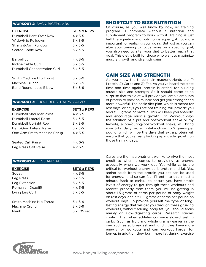### Workout 2: Back, Biceps, Abs

| <b>EXERCISE</b>             | <b>SETS x REPS</b> |
|-----------------------------|--------------------|
| Dumbbell Bent-Over Row      | $4 \times 3 - 5$   |
| Wide-Grip Pulldown          | $3 \times 3 - 5$   |
| Straight-Arm Pulldown       | $3 \times 3 - 5$   |
| Seated Cable Row            | $3 \times 3 - 5$   |
| Barbell curl                | $4 \times 3 - 5$   |
| Incline Cable Curl          | $3 \times 3 - 5$   |
| Dumbbell Concentration Curl | $3 \times 3 - 5$   |
| Smith Machine Hip Thrust    | $3 \times 6-9$     |
| Machine Crunch              | $3 \times 6-9$     |
| Band Roundhouse Flbow       | $3 \times 6-9$     |

## **WORKOUT 3: SHOULDERS, TRAPS, CALVES**

| <b>EXERCISE</b>             | <b>SETS x REPS</b> |
|-----------------------------|--------------------|
| Dumbbell Shoulder Press     | $4 \times 3 - 5$   |
| Dumbbell Lateral Raise      | $3 \times 3 - 5$   |
| Dumbbell Upright Row        | $3 \times 3 - 5$   |
| Bent-Over Lateral Raise     | $3 \times 3 - 5$   |
| One-Arm Smith Machine Shrug | $4 \times 3 - 5$   |
|                             |                    |
| Seated Calf Raise           | $4 \times 6 - 9$   |
| Leg Press Calf Raise        | $4 \times 6 - 9$   |
|                             |                    |

## WORKOUT 4: LEGS AND ABS

| <b>EXERCISE</b>                                     | <b>SETS x REPS</b>                                      |
|-----------------------------------------------------|---------------------------------------------------------|
| Squat                                               | $4 \times 3 - 5$                                        |
| Leg Press                                           | $3 \times 3 - 5$                                        |
| Leg Extension                                       | $3 \times 3 - 5$                                        |
| Romanian Deadlift                                   | $4 \times 3 - 5$                                        |
| Lying Leg Curl                                      | $3 \times 3 - 5$                                        |
| Smith Machine Hip Thrust<br>Machine Crunch<br>Plank | $3 \times 6-9$<br>$3 \times 6-9$<br>$3 \times 105$ sec. |
|                                                     |                                                         |

## SHORTCUT TO SIZE Nutrition

Of course, as you well know by now, no training program is complete without a nutrition and supplement program to work with it. Training is just half the equation and nutrition is equally, if not more important for realizing your goals. But just as you can alter your training to focus more on a specific goal, you also need to alter your diet to better reach that goal. This diet is built for those who want to maximize muscle growth and strength gains.

## Gain Size and Strength

As you know the three main macronutrients are: 1) Protein, 2) Carbs and 3) Fat. As you've heard me state time and time again, protein is critical for building muscle size and strength. So it should come at no surprise that this diet will provide you ample amounts of protein to pack on muscle and get you stronger and more powerful. The basic diet plan, which is meant for rest days, or days you are not training, will provide you about 1.5 grams of protein. This will keep you anabolic and encourage muscle growth. On Workout days the addition of a pre and postworkout shake or my favorite, a pre/during/postworkout shake, will bring your total daily protein intake closer to 2 grams per pound, which will be the days that extra protein will ensure that you're really kicking up muscle growth on those training days.

longer, in addition they burn more fat during exercise Carbs are the macronutrient we like to give the most credit to when it comes to providing us energy, especially when we work out. Yet, while carbs are critical for workout energy, so is protein and fat. Yes, amino acids from the protein you eat can be used for energy… and so can fat. I'll get into this in just a minute. Back to carbs… to ensure you have ample levels of energy to get through these workouts and recover properly from them, you will be getting in about 1.5 grams of carbs per pound of body weight on rest days, and a full 2 grams of carbs per pound on workout days. To provide yourself the type of longlasting energy that will get you through these grueling workouts, without adding body fat, you should focus mainly on slow-digesting carbs. Research studies confirm that when athletes consume slow-digesting carbs (such as fruit and whole grains) earlier in the day, such as at breakfast and lunch, they have more energy for workouts and can workout harder for

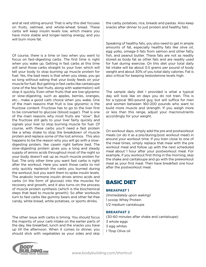and at rest sitting around. That is why this diet focuses on fruits, oatmeal, and whole-wheat bread. These carbs will keep insulin levels low, which means you have more stable and longer-lasting energy, and you will burn more fat.

Of course, there is a time or two when you want to focus on fast-digesting carbs. The first time is right when you wake up. Getting in fast carbs at this time will send those carbs straight to your liver, which will tell your body to stop burning up muscle protein for fuel. Yes, the bad news is that when you sleep, you go so long without eating that your body feeds on your muscle for fuel. But getting in fast carbs like cantaloupe (one of the few fast fruits, along with watermelon) will stop it quickly. Even other fruits that are low-glycemic or slow-digesting, such as apples, berries, oranges, etc… make a good carb choice when you wake. One of the main reasons that fruit is low glycemic is the fructose content. Fructose has to go to the liver first to be converted to glucose (blood sugar). That is one of the main reasons why most fruits are "slow". But the fructose still gets to your liver fairly quickly and signals your liver to stop burning muscle for fuel. Of course, with these carbs you'll need a fast protein like a whey shake to stop the breakdown of muscle protein and replace some of the lost aminos. This also happens to be the reason why you will go with a slowdigesting protein, like casein right before bed. The slow-digesting protein gives you a long and steady supply of amino acids throughout most of the night so your body doesn't eat up as much muscle protein for fuel. The only other time you want fast carbs is right after the workout. Here you want those carbs to not only quickly replenish the carbs you burned during the workout, but you want them to spike insulin levels. The anabolic hormone insulin drives amino acids and carbs (in the form of glucose) into the muscles for recovery and growth, and it also turns on the process of muscle protein synthesis (which is the biochemical steps that lead to muscle growth). So after workouts turn to fast carbs like gummy bears and other fat-free candy, white bread, white potatoes, or sports drinks.

® should stick with vegetables as your sides and skip The other issue with carbs is timing. You should focus the majority of your carb intake on the earlier parts of the day, like breakfast, lunch and the snacks you have up till the afternoon. When it comes to dinner, you

the carby potatoes, rice, breads and pastas. Also keep snacks after dinner to just protein and healthy fats.

Speaking of healthy fats, you also need to get in ample amounts of fat, especially healthy fats like olive oil, egg yolks, omega-3 fats from salmon and other fatty fish, and peanut butter. These fats are not as readily stored as body fat as other fats and are readily used for fuel during exercise. On this diet your total daily fat intake will be about 0.5 grams per pound of body weight and about 30% of you total daily calories. Fat is also critical for keeping testosterone levels high.

The sample daily diet I provided is what a typical day will look like on days you do not train. This is for a typical 180-pound guy, but will suffice for men and women between 160-200 pounds who want to build more muscle and strength. If you weigh more or less than this range, adjust your macronutrients accordingly for your weight.

On workout days, simply add the pre and postworkout meals (or do it as a pre/during/post workout meal) in around your workout time. If you train close to one of the meal times, simply replace that meal with the pre workout meal and follow up with the next scheduled meal about 1 hour after your postworkout meal. For example, if you workout first thing in the morning, skip the shake and cantaloupe and go with the preworkout meal as your first meal. Then have breakfast one hour after the postworkout meal.

# Basic Diet

### **Breakfast 1**

*(Immediately upon waking)* 1 scoop Whey Protein 1/2 medium cantaloupe

## **Breakfast 2**

(30-60 minutes after shake and cantaloupe) 3 whole eggs 3 egg whites 1 Tbsp Olive oil

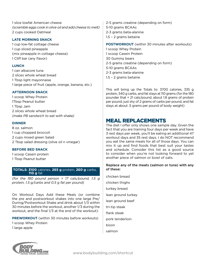1 slice lowfat American cheese *(scramble eggs cook in olive oil and add cheese to melt)* 2 cups cooked Oatmeal

## **Late morning snack**

1 cup low-fat cottage cheese 1 cup sliced pineapple (mix pineapple in cottage cheese) 1 Cliff bar (any flavor)

## **Lunch**

1 can albacore tuna 2 slices whole wheat bread 1 Tbsp light mayonnaise 1 large piece of fruit (apple, orange, banana, etc.)

## **Afternoon Snack**

1 scoop Whey Protein 1Tbsp Peanut butter 1 Tbsp Jam 2 slices whole wheat bread *(make PB sandwich to eat with shake)*

## **Dinner**

8 oz. salmon 1 cup chopped broccoli 2 cups mixed green Salad 2 Tbsp salad dressing (olive oil n vinegar)

### **Before Bed Snack**

1 scoop Casein protein 1 Tbsp Peanut butter

#### **Totals: 3100** calories, **265 g** protein, **260 g** carbs, **110 g** fat

*(for the 180 pound person = 17 cals/pound, 1.5 g protein, 1.5 g/carbs and 0.5 g fat per pound)*

On Workout Days Add these Meals (or combine the pre and postworkout shakes into one large Pre/ During/Postworkout Shake and drink about 1/3 within 30 minutes before the workout, another 1/3 during the workout, and the final 1/3 at the end of the workout):

**PREWORKOUT** (within 30 minutes before workouts) 1 scoop Whey Protein

1 large apple

2-5 grams creatine (depending on form) 5-10 grams BCAAs 2-3 grams beta-alanine 1.5 – 2 grams betaine

### **POSTWORKOUT** (within 30 minutes after workouts)

1 scoop Whey Protein 1 scoop Casein Protein 30 Gummy bears 2-5 grams creatine (depending on form) 5-10 grams BCAAs 2-3 grams beta-alanine 1.5 – 2 grams betaine

This will bring up the Totals to: 3700 calories, 335 g protein, 340 g carbs, and fat stays at 110 grams (for the 180 pounder that = 21 cals/pound, about 1.8 grams of protein per pound, just shy of 2 grams of carbs per pound, and fat stays at about .5 grams per pound of body weight)

# MEAL REPLACEMENTS

The diet I offer only shows one sample day. Given the fact that you are training four days per week and have 3 rest days per week, you'll be eating an additional 47 workout days and 35 rest days. I do NOT recommend you eat the same meals for all of those days. You can mix it up and find foods that best suit your tastes and schedule. Consider this list as a good source to consider when you're not looking forward to yet another piece of salmon or bowl of oats.

## Replace any of the meats (salmon or tuna) with any of these:

chicken breast chicken thighs turkey breast lean ground turkey lean ground beef tri-tip steak flank steak pork tenderloin bison salmon